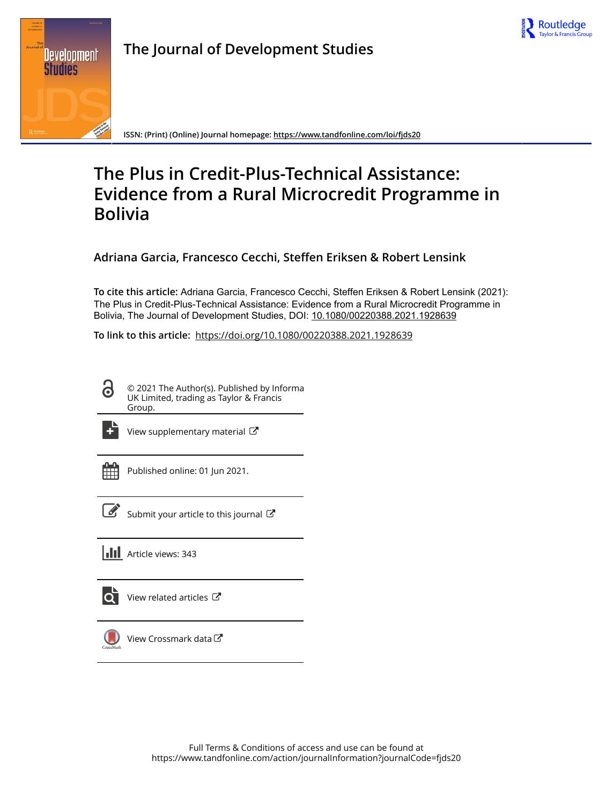



**The Journal of Development Studies**

**ISSN: (Print) (Online) Journal homepage:<https://www.tandfonline.com/loi/fjds20>**

# **The Plus in Credit-Plus-Technical Assistance: Evidence from a Rural Microcredit Programme in Bolivia**

**Adriana Garcia, Francesco Cecchi, Steffen Eriksen & Robert Lensink**

**To cite this article:** Adriana Garcia, Francesco Cecchi, Steffen Eriksen & Robert Lensink (2021): The Plus in Credit-Plus-Technical Assistance: Evidence from a Rural Microcredit Programme in Bolivia, The Journal of Development Studies, DOI: [10.1080/00220388.2021.1928639](https://www.tandfonline.com/action/showCitFormats?doi=10.1080/00220388.2021.1928639)

**To link to this article:** <https://doi.org/10.1080/00220388.2021.1928639>

© 2021 The Author(s). Published by Informa UK Limited, trading as Taylor & Francis Group.



[View supplementary material](https://www.tandfonline.com/doi/suppl/10.1080/00220388.2021.1928639)  $\mathbb{Z}$ 

| _<br>- |  |
|--------|--|
|        |  |
|        |  |
|        |  |

Published online: 01 Jun 2021.



 $\overline{\mathscr{L}}$  [Submit your article to this journal](https://www.tandfonline.com/action/authorSubmission?journalCode=fjds20&show=instructions)  $\mathbb{Z}$ 



[View related articles](https://www.tandfonline.com/doi/mlt/10.1080/00220388.2021.1928639)  $\mathbb{Z}$ 



[View Crossmark data](http://crossmark.crossref.org/dialog/?doi=10.1080/00220388.2021.1928639&domain=pdf&date_stamp=2021-06-01) $\mathbb{Z}$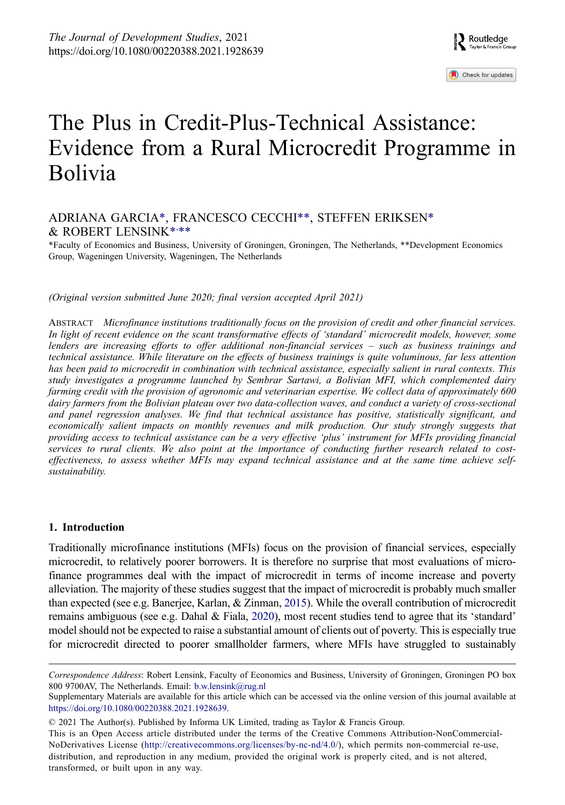# The Plus in Credit-Plus-Technical Assistance: Evidence from a Rural Microcredit Programme in Bolivia

# ADRIANA GARCI[A\\*,](#page-1-0) FRANCESCO CECCHI[\\*\\*,](#page-1-0) STEFFEN ERIKSEN[\\*](#page-1-0) & ROBERT LENSIN[K\\*](#page-1-0), [\\*\\*](#page-1-0)

<span id="page-1-0"></span>\*Faculty of Economics and Business, University of Groningen, Groningen, The Netherlands, \*\*Development Economics Group, Wageningen University, Wageningen, The Netherlands

*(Original version submitted June 2020; final version accepted April 2021)*

ABSTRACT *Microfinance institutions traditionally focus on the provision of credit and other financial services. In light of recent evidence on the scant transformative effects of 'standard' microcredit models, however, some lenders are increasing efforts to offer additional non-financial services – such as business trainings and technical assistance. While literature on the effects of business trainings is quite voluminous, far less attention has been paid to microcredit in combination with technical assistance, especially salient in rural contexts. This study investigates a programme launched by Sembrar Sartawi, a Bolivian MFI, which complemented dairy farming credit with the provision of agronomic and veterinarian expertise. We collect data of approximately 600 dairy farmers from the Bolivian plateau over two data-collection waves, and conduct a variety of cross-sectional and panel regression analyses. We find that technical assistance has positive, statistically significant, and economically salient impacts on monthly revenues and milk production. Our study strongly suggests that providing access to technical assistance can be a very effective 'plus' instrument for MFIs providing financial services to rural clients. We also point at the importance of conducting further research related to costeffectiveness, to assess whether MFIs may expand technical assistance and at the same time achieve selfsustainability.*

#### **1. Introduction**

<span id="page-1-2"></span><span id="page-1-1"></span>Traditionally microfinance institutions (MFIs) focus on the provision of financial services, especially microcredit, to relatively poorer borrowers. It is therefore no surprise that most evaluations of microfinance programmes deal with the impact of microcredit in terms of income increase and poverty alleviation. The majority of these studies suggest that the impact of microcredit is probably much smaller than expected (see e.g. Banerjee, Karlan, & Zinman, [2015\)](#page-15-0). While the overall contribution of microcredit remains ambiguous (see e.g. Dahal & Fiala, [2020\)](#page-15-1), most recent studies tend to agree that its 'standard' model should not be expected to raise a substantial amount of clients out of poverty. This is especially true for microcredit directed to poorer smallholder farmers, where MFIs have struggled to sustainably

This is an Open Access article distributed under the terms of the Creative Commons Attribution-NonCommercial-NoDerivatives License (http://creativecommons.org/licenses/by-nc-nd/4.0/), which permits non-commercial re-use, distribution, and reproduction in any medium, provided the original work is properly cited, and is not altered, transformed, or built upon in any way.

*Correspondence Address*: Robert Lensink, Faculty of Economics and Business, University of Groningen, Groningen PO box 800 9700AV, The Netherlands. Email: b.w.lensink@rug.nl

Supplementary Materials are available for this article which can be accessed via the online version of this journal available at <https://doi.org/10.1080/00220388.2021.1928639>.

<sup>© 2021</sup> The Author(s). Published by Informa UK Limited, trading as Taylor & Francis Group.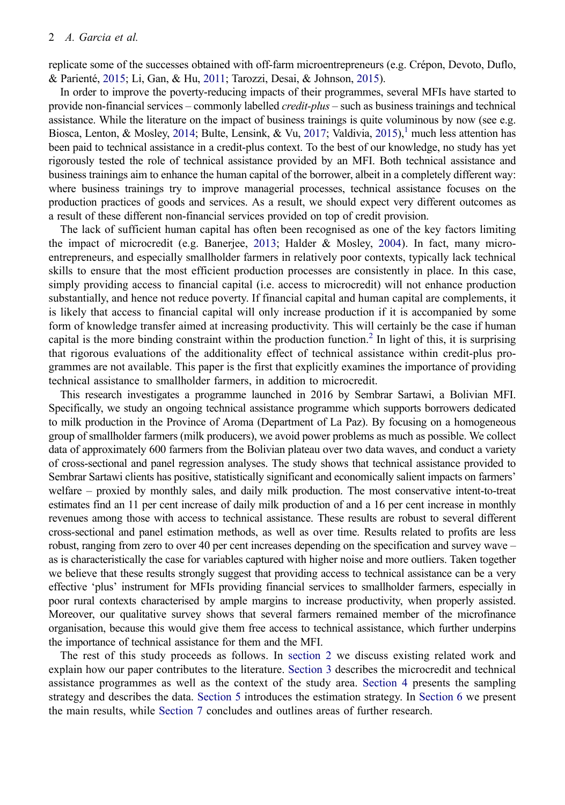<span id="page-2-2"></span>replicate some of the successes obtained with off-farm microentrepreneurs (e.g. Crépon, Devoto, Duflo, & Parienté, [2015;](#page-15-2) Li, Gan, & Hu, [2011;](#page-15-3) Tarozzi, Desai, & Johnson, [2015](#page-16-0)).

<span id="page-2-1"></span>In order to improve the poverty-reducing impacts of their programmes, several MFIs have started to provide non-financial services – commonly labelled *credit-plus* – such as business trainings and technical assistance. While the literature on the impact of business trainings is quite voluminous by now (see e.g. Biosca, Lenton, & Mosley, [2014](#page-15-4); Bulte, Lensink, & Vu, [2017;](#page-15-5) Valdivia, [2015](#page-16-1)),<sup>1</sup> much less attention has been paid to technical assistance in a credit-plus context. To the best of our knowledge, no study has yet rigorously tested the role of technical assistance provided by an MFI. Both technical assistance and business trainings aim to enhance the human capital of the borrower, albeit in a completely different way: where business trainings try to improve managerial processes, technical assistance focuses on the production practices of goods and services. As a result, we should expect very different outcomes as a result of these different non-financial services provided on top of credit provision.

<span id="page-2-0"></span>The lack of sufficient human capital has often been recognised as one of the key factors limiting the impact of microcredit (e.g. Banerjee, [2013](#page-15-6); Halder & Mosley, [2004\)](#page-15-7). In fact, many microentrepreneurs, and especially smallholder farmers in relatively poor contexts, typically lack technical skills to ensure that the most efficient production processes are consistently in place. In this case, simply providing access to financial capital (i.e. access to microcredit) will not enhance production substantially, and hence not reduce poverty. If financial capital and human capital are complements, it is likely that access to financial capital will only increase production if it is accompanied by some form of knowledge transfer aimed at increasing productivity. This will certainly be the case if human capital is the more binding constraint within the production function.<sup>2</sup> In light of this, it is surprising that rigorous evaluations of the additionality effect of technical assistance within credit-plus programmes are not available. This paper is the first that explicitly examines the importance of providing technical assistance to smallholder farmers, in addition to microcredit.

This research investigates a programme launched in 2016 by Sembrar Sartawi, a Bolivian MFI. Specifically, we study an ongoing technical assistance programme which supports borrowers dedicated to milk production in the Province of Aroma (Department of La Paz). By focusing on a homogeneous group of smallholder farmers (milk producers), we avoid power problems as much as possible. We collect data of approximately 600 farmers from the Bolivian plateau over two data waves, and conduct a variety of cross-sectional and panel regression analyses. The study shows that technical assistance provided to Sembrar Sartawi clients has positive, statistically significant and economically salient impacts on farmers' welfare – proxied by monthly sales, and daily milk production. The most conservative intent-to-treat estimates find an 11 per cent increase of daily milk production of and a 16 per cent increase in monthly revenues among those with access to technical assistance. These results are robust to several different cross-sectional and panel estimation methods, as well as over time. Results related to profits are less robust, ranging from zero to over 40 per cent increases depending on the specification and survey wave – as is characteristically the case for variables captured with higher noise and more outliers. Taken together we believe that these results strongly suggest that providing access to technical assistance can be a very effective 'plus' instrument for MFIs providing financial services to smallholder farmers, especially in poor rural contexts characterised by ample margins to increase productivity, when properly assisted. Moreover, our qualitative survey shows that several farmers remained member of the microfinance organisation, because this would give them free access to technical assistance, which further underpins the importance of technical assistance for them and the MFI.

The rest of this study proceeds as follows. In [section 2](#page-3-0) we discuss existing related work and explain how our paper contributes to the literature. [Section 3](#page-4-0) describes the microcredit and technical assistance programmes as well as the context of the study area. [Section 4](#page-5-0) presents the sampling strategy and describes the data. [Section 5](#page-7-0) introduces the estimation strategy. In [Section 6](#page-10-0) we present the main results, while [Section 7](#page-13-0) concludes and outlines areas of further research.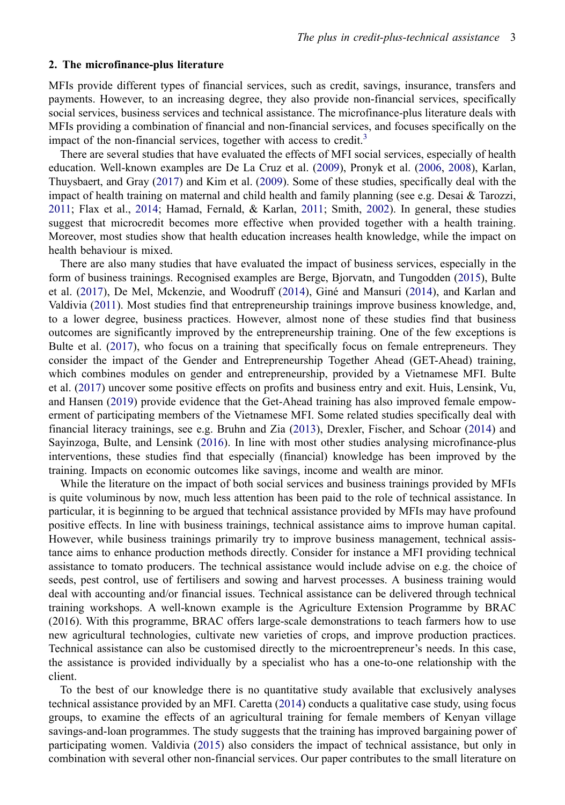#### <span id="page-3-0"></span>**2. The microfinance-plus literature**

MFIs provide different types of financial services, such as credit, savings, insurance, transfers and payments. However, to an increasing degree, they also provide non-financial services, specifically social services, business services and technical assistance. The microfinance-plus literature deals with MFIs providing a combination of financial and non-financial services, and focuses specifically on the impact of the non-financial services, together with access to credit.<sup>[3](#page-14-2)</sup>

<span id="page-3-9"></span><span id="page-3-7"></span><span id="page-3-6"></span><span id="page-3-4"></span>There are several studies that have evaluated the effects of MFI social services, especially of health education. Well-known examples are De La Cruz et al. ([2009\)](#page-15-8), Pronyk et al. ([2006,](#page-15-9) [2008\)](#page-15-10), Karlan, Thuysbaert, and Gray ([2017\)](#page-15-11) and Kim et al. ([2009\)](#page-15-12). Some of these studies, specifically deal with the impact of health training on maternal and child health and family planning (see e.g. Desai & Tarozzi, [2011](#page-15-13); Flax et al., [2014](#page-15-14); Hamad, Fernald, & Karlan, [2011;](#page-15-15) Smith, [2002](#page-16-2)). In general, these studies suggest that microcredit becomes more effective when provided together with a health training. Moreover, most studies show that health education increases health knowledge, while the impact on health behaviour is mixed.

<span id="page-3-10"></span><span id="page-3-5"></span><span id="page-3-1"></span>There are also many studies that have evaluated the impact of business services, especially in the form of business trainings. Recognised examples are Berge, Bjorvatn, and Tungodden [\(2015](#page-15-16)), Bulte et al. [\(2017](#page-15-5)), De Mel, Mckenzie, and Woodruff ([2014\)](#page-15-17), Giné and Mansuri ([2014\)](#page-15-18), and Karlan and Valdivia [\(2011](#page-15-19)). Most studies find that entrepreneurship trainings improve business knowledge, and, to a lower degree, business practices. However, almost none of these studies find that business outcomes are significantly improved by the entrepreneurship training. One of the few exceptions is Bulte et al. [\(2017](#page-15-5)), who focus on a training that specifically focus on female entrepreneurs. They consider the impact of the Gender and Entrepreneurship Together Ahead (GET-Ahead) training, which combines modules on gender and entrepreneurship, provided by a Vietnamese MFI. Bulte et al. [\(2017](#page-15-5)) uncover some positive effects on profits and business entry and exit. Huis, Lensink, Vu, and Hansen ([2019\)](#page-15-20) provide evidence that the Get-Ahead training has also improved female empowerment of participating members of the Vietnamese MFI. Some related studies specifically deal with financial literacy trainings, see e.g. Bruhn and Zia [\(2013](#page-15-21)), Drexler, Fischer, and Schoar [\(2014](#page-15-22)) and Sayinzoga, Bulte, and Lensink ([2016\)](#page-16-3). In line with most other studies analysing microfinance-plus interventions, these studies find that especially (financial) knowledge has been improved by the training. Impacts on economic outcomes like savings, income and wealth are minor.

<span id="page-3-11"></span><span id="page-3-8"></span><span id="page-3-2"></span>While the literature on the impact of both social services and business trainings provided by MFIs is quite voluminous by now, much less attention has been paid to the role of technical assistance. In particular, it is beginning to be argued that technical assistance provided by MFIs may have profound positive effects. In line with business trainings, technical assistance aims to improve human capital. However, while business trainings primarily try to improve business management, technical assistance aims to enhance production methods directly. Consider for instance a MFI providing technical assistance to tomato producers. The technical assistance would include advise on e.g. the choice of seeds, pest control, use of fertilisers and sowing and harvest processes. A business training would deal with accounting and/or financial issues. Technical assistance can be delivered through technical training workshops. A well-known example is the Agriculture Extension Programme by BRAC (2016). With this programme, BRAC offers large-scale demonstrations to teach farmers how to use new agricultural technologies, cultivate new varieties of crops, and improve production practices. Technical assistance can also be customised directly to the microentrepreneur's needs. In this case, the assistance is provided individually by a specialist who has a one-to-one relationship with the client.

<span id="page-3-3"></span>To the best of our knowledge there is no quantitative study available that exclusively analyses technical assistance provided by an MFI. Caretta ([2014\)](#page-15-23) conducts a qualitative case study, using focus groups, to examine the effects of an agricultural training for female members of Kenyan village savings-and-loan programmes. The study suggests that the training has improved bargaining power of participating women. Valdivia ([2015\)](#page-16-1) also considers the impact of technical assistance, but only in combination with several other non-financial services. Our paper contributes to the small literature on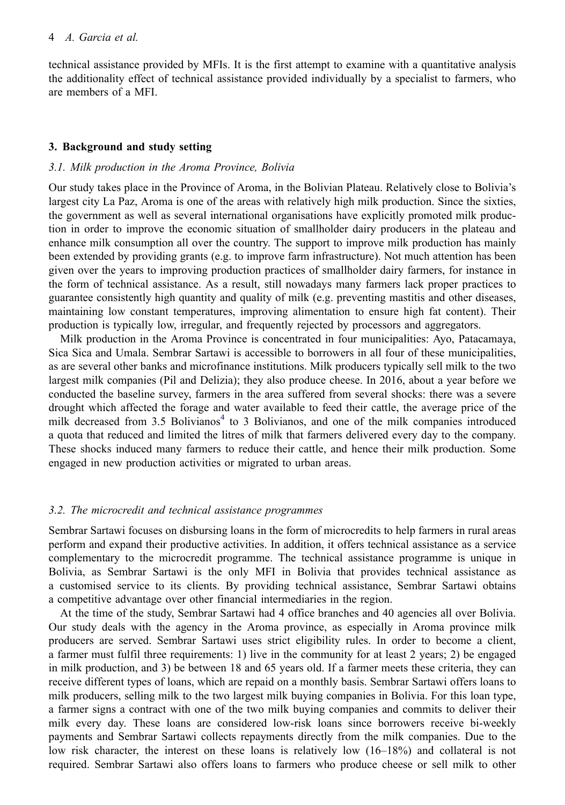technical assistance provided by MFIs. It is the first attempt to examine with a quantitative analysis the additionality effect of technical assistance provided individually by a specialist to farmers, who are members of a MFI.

#### <span id="page-4-0"></span>**3. Background and study setting**

#### *3.1. Milk production in the Aroma Province, Bolivia*

Our study takes place in the Province of Aroma, in the Bolivian Plateau. Relatively close to Bolivia's largest city La Paz, Aroma is one of the areas with relatively high milk production. Since the sixties, the government as well as several international organisations have explicitly promoted milk production in order to improve the economic situation of smallholder dairy producers in the plateau and enhance milk consumption all over the country. The support to improve milk production has mainly been extended by providing grants (e.g. to improve farm infrastructure). Not much attention has been given over the years to improving production practices of smallholder dairy farmers, for instance in the form of technical assistance. As a result, still nowadays many farmers lack proper practices to guarantee consistently high quantity and quality of milk (e.g. preventing mastitis and other diseases, maintaining low constant temperatures, improving alimentation to ensure high fat content). Their production is typically low, irregular, and frequently rejected by processors and aggregators.

Milk production in the Aroma Province is concentrated in four municipalities: Ayo, Patacamaya, Sica Sica and Umala. Sembrar Sartawi is accessible to borrowers in all four of these municipalities, as are several other banks and microfinance institutions. Milk producers typically sell milk to the two largest milk companies (Pil and Delizia); they also produce cheese. In 2016, about a year before we conducted the baseline survey, farmers in the area suffered from several shocks: there was a severe drought which affected the forage and water available to feed their cattle, the average price of the milk decreased from 3.5 Bolivianos $4$  to 3 Bolivianos, and one of the milk companies introduced a quota that reduced and limited the litres of milk that farmers delivered every day to the company. These shocks induced many farmers to reduce their cattle, and hence their milk production. Some engaged in new production activities or migrated to urban areas.

#### *3.2. The microcredit and technical assistance programmes*

Sembrar Sartawi focuses on disbursing loans in the form of microcredits to help farmers in rural areas perform and expand their productive activities. In addition, it offers technical assistance as a service complementary to the microcredit programme. The technical assistance programme is unique in Bolivia, as Sembrar Sartawi is the only MFI in Bolivia that provides technical assistance as a customised service to its clients. By providing technical assistance, Sembrar Sartawi obtains a competitive advantage over other financial intermediaries in the region.

At the time of the study, Sembrar Sartawi had 4 office branches and 40 agencies all over Bolivia. Our study deals with the agency in the Aroma province, as especially in Aroma province milk producers are served. Sembrar Sartawi uses strict eligibility rules. In order to become a client, a farmer must fulfil three requirements: 1) live in the community for at least 2 years; 2) be engaged in milk production, and 3) be between 18 and 65 years old. If a farmer meets these criteria, they can receive different types of loans, which are repaid on a monthly basis. Sembrar Sartawi offers loans to milk producers, selling milk to the two largest milk buying companies in Bolivia. For this loan type, a farmer signs a contract with one of the two milk buying companies and commits to deliver their milk every day. These loans are considered low-risk loans since borrowers receive bi-weekly payments and Sembrar Sartawi collects repayments directly from the milk companies. Due to the low risk character, the interest on these loans is relatively low (16–18%) and collateral is not required. Sembrar Sartawi also offers loans to farmers who produce cheese or sell milk to other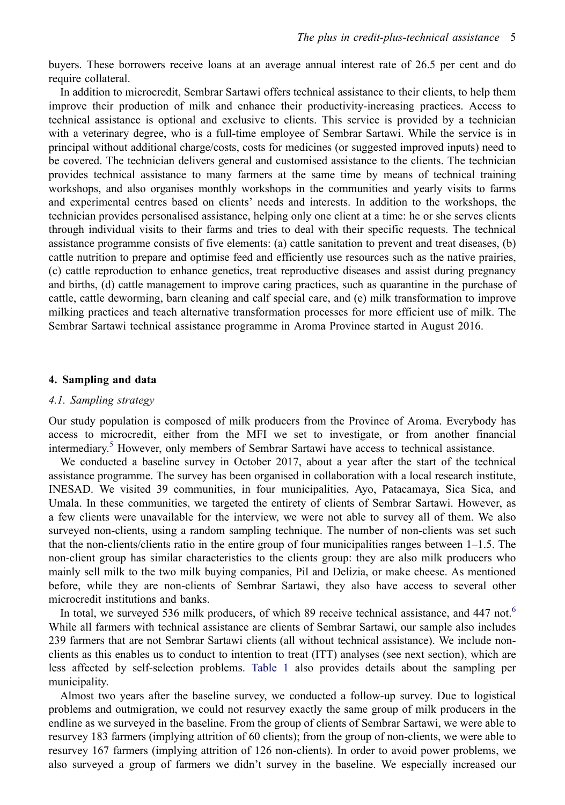buyers. These borrowers receive loans at an average annual interest rate of 26.5 per cent and do require collateral.

In addition to microcredit, Sembrar Sartawi offers technical assistance to their clients, to help them improve their production of milk and enhance their productivity-increasing practices. Access to technical assistance is optional and exclusive to clients. This service is provided by a technician with a veterinary degree, who is a full-time employee of Sembrar Sartawi. While the service is in principal without additional charge/costs, costs for medicines (or suggested improved inputs) need to be covered. The technician delivers general and customised assistance to the clients. The technician provides technical assistance to many farmers at the same time by means of technical training workshops, and also organises monthly workshops in the communities and yearly visits to farms and experimental centres based on clients' needs and interests. In addition to the workshops, the technician provides personalised assistance, helping only one client at a time: he or she serves clients through individual visits to their farms and tries to deal with their specific requests. The technical assistance programme consists of five elements: (a) cattle sanitation to prevent and treat diseases, (b) cattle nutrition to prepare and optimise feed and efficiently use resources such as the native prairies, (c) cattle reproduction to enhance genetics, treat reproductive diseases and assist during pregnancy and births, (d) cattle management to improve caring practices, such as quarantine in the purchase of cattle, cattle deworming, barn cleaning and calf special care, and (e) milk transformation to improve milking practices and teach alternative transformation processes for more efficient use of milk. The Sembrar Sartawi technical assistance programme in Aroma Province started in August 2016.

#### <span id="page-5-0"></span>**4. Sampling and data**

## *4.1. Sampling strategy*

Our study population is composed of milk producers from the Province of Aroma. Everybody has access to microcredit, either from the MFI we set to investigate, or from another financial intermediary. [5](#page-14-4) However, only members of Sembrar Sartawi have access to technical assistance.

We conducted a baseline survey in October 2017, about a year after the start of the technical assistance programme. The survey has been organised in collaboration with a local research institute, INESAD. We visited 39 communities, in four municipalities, Ayo, Patacamaya, Sica Sica, and Umala. In these communities, we targeted the entirety of clients of Sembrar Sartawi. However, as a few clients were unavailable for the interview, we were not able to survey all of them. We also surveyed non-clients, using a random sampling technique. The number of non-clients was set such that the non-clients/clients ratio in the entire group of four municipalities ranges between 1–1.5. The non-client group has similar characteristics to the clients group: they are also milk producers who mainly sell milk to the two milk buying companies, Pil and Delizia, or make cheese. As mentioned before, while they are non-clients of Sembrar Sartawi, they also have access to several other microcredit institutions and banks.

In total, we surveyed 53[6](#page-14-5) milk producers, of which 89 receive technical assistance, and 447 not.<sup>6</sup> While all farmers with technical assistance are clients of Sembrar Sartawi, our sample also includes 239 farmers that are not Sembrar Sartawi clients (all without technical assistance). We include nonclients as this enables us to conduct to intention to treat (ITT) analyses (see next section), which are less affected by self-selection problems. [Table 1](#page-6-0) also provides details about the sampling per municipality.

Almost two years after the baseline survey, we conducted a follow-up survey. Due to logistical problems and outmigration, we could not resurvey exactly the same group of milk producers in the endline as we surveyed in the baseline. From the group of clients of Sembrar Sartawi, we were able to resurvey 183 farmers (implying attrition of 60 clients); from the group of non-clients, we were able to resurvey 167 farmers (implying attrition of 126 non-clients). In order to avoid power problems, we also surveyed a group of farmers we didn't survey in the baseline. We especially increased our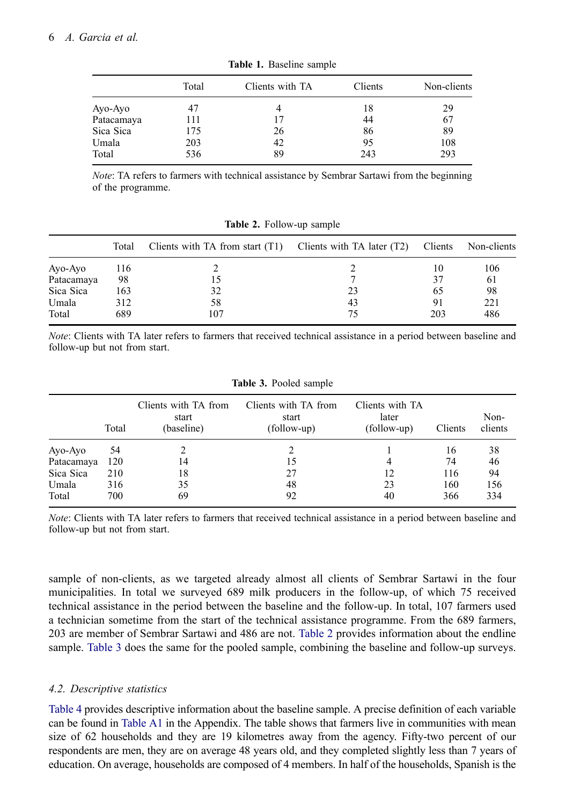<span id="page-6-0"></span>

|            | Total | Clients with TA | Clients | Non-clients |
|------------|-------|-----------------|---------|-------------|
| Ayo-Ayo    | 47    | 4               | 18      | 29          |
| Patacamaya | 111   | 17              | 44      | 67          |
| Sica Sica  | 175   | 26              | 86      | 89          |
| Umala      | 203   | 42              | 95      | 108         |
| Total      | 536   | 89              | 243     | 293         |

**Table 1.** Baseline sample

*Note*: TA refers to farmers with technical assistance by Sembrar Sartawi from the beginning of the programme.

<span id="page-6-1"></span>

|            | Total | Clients with TA from start $(T1)$ | Clients with TA later $(T2)$ | Clients | Non-clients |
|------------|-------|-----------------------------------|------------------------------|---------|-------------|
| Ayo-Ayo    | 116   |                                   |                              | 10      | 106         |
| Patacamaya | 98    |                                   |                              | 37      | 61          |
| Sica Sica  | 163   | 32                                | 23                           | 65      | 98          |
| Umala      | 312   | 58                                | 43                           | 91      | 221         |
| Total      | 689   | 107                               | 75                           | 203     | 486         |

**Table 2.** Follow-up sample

*Note*: Clients with TA later refers to farmers that received technical assistance in a period between baseline and follow-up but not from start.

<span id="page-6-2"></span>

|            | <b>Table 3.</b> Pooled sample |                                             |                                              |                                         |         |                 |  |  |  |  |
|------------|-------------------------------|---------------------------------------------|----------------------------------------------|-----------------------------------------|---------|-----------------|--|--|--|--|
|            | Total                         | Clients with TA from<br>start<br>(baseline) | Clients with TA from<br>start<br>(follow-up) | Clients with TA<br>later<br>(follow-up) | Clients | Non-<br>clients |  |  |  |  |
| Ayo-Ayo    | 54                            |                                             |                                              |                                         | 16      | 38              |  |  |  |  |
| Patacamaya | 120                           | 14                                          | 15                                           | 4                                       | 74      | 46              |  |  |  |  |
| Sica Sica  | 210                           | 18                                          | 27                                           | 12                                      | 116     | 94              |  |  |  |  |
| Umala      | 316                           | 35                                          | 48                                           | 23                                      | 160     | 156             |  |  |  |  |
| Total      | 700                           | 69                                          | 92                                           | 40                                      | 366     | 334             |  |  |  |  |

**Table 3.** Pooled sample

*Note*: Clients with TA later refers to farmers that received technical assistance in a period between baseline and follow-up but not from start.

sample of non-clients, as we targeted already almost all clients of Sembrar Sartawi in the four municipalities. In total we surveyed 689 milk producers in the follow-up, of which 75 received technical assistance in the period between the baseline and the follow-up. In total, 107 farmers used a technician sometime from the start of the technical assistance programme. From the 689 farmers, 203 are member of Sembrar Sartawi and 486 are not. [Table 2](#page-6-1) provides information about the endline sample. [Table 3](#page-6-2) does the same for the pooled sample, combining the baseline and follow-up surveys.

# <span id="page-6-3"></span>*4.2. Descriptive statistics*

[Table 4](#page-7-1) provides descriptive information about the baseline sample. A precise definition of each variable can be found in [Table A1](#page-16-4) in the Appendix. The table shows that farmers live in communities with mean size of 62 households and they are 19 kilometres away from the agency. Fifty-two percent of our respondents are men, they are on average 48 years old, and they completed slightly less than 7 years of education. On average, households are composed of 4 members. In half of the households, Spanish is the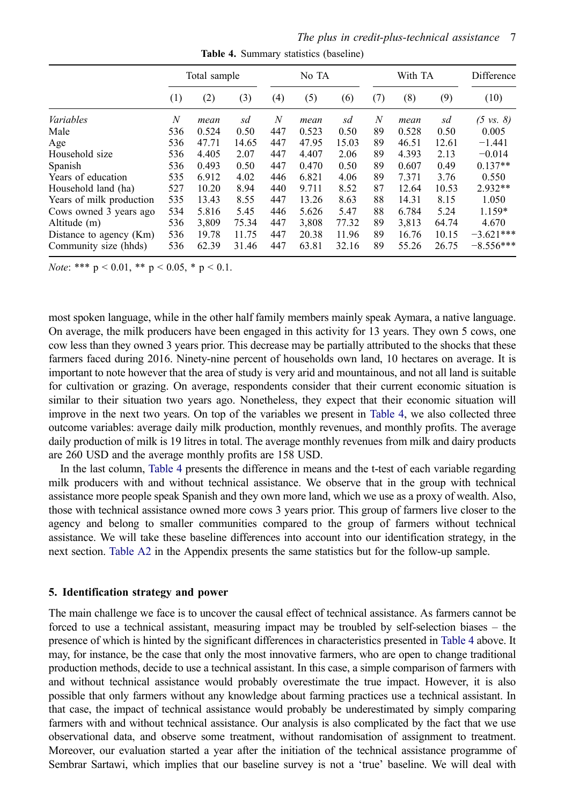*The plus in credit-plus-technical assistance* 7

<span id="page-7-1"></span>

|                          | Total sample     |       |       | No TA |       |       |     | With TA | Difference |                      |
|--------------------------|------------------|-------|-------|-------|-------|-------|-----|---------|------------|----------------------|
|                          | (1)              | (2)   | (3)   | (4)   | (5)   | (6)   | (7) | (8)     | (9)        | (10)                 |
| Variables                | $\boldsymbol{N}$ | mean  | sd    | N     | mean  | sd    | N   | mean    | sd         | $(5 \text{ vs. } 8)$ |
| Male                     | 536              | 0.524 | 0.50  | 447   | 0.523 | 0.50  | 89  | 0.528   | 0.50       | 0.005                |
| Age                      | 536              | 47.71 | 14.65 | 447   | 47.95 | 15.03 | 89  | 46.51   | 12.61      | $-1.441$             |
| Household size           | 536              | 4.405 | 2.07  | 447   | 4.407 | 2.06  | 89  | 4.393   | 2.13       | $-0.014$             |
| Spanish                  | 536              | 0.493 | 0.50  | 447   | 0.470 | 0.50  | 89  | 0.607   | 0.49       | $0.137**$            |
| Years of education       | 535              | 6.912 | 4.02  | 446   | 6.821 | 4.06  | 89  | 7.371   | 3.76       | 0.550                |
| Household land (ha)      | 527              | 10.20 | 8.94  | 440   | 9.711 | 8.52  | 87  | 12.64   | 10.53      | 2.932**              |
| Years of milk production | 535              | 13.43 | 8.55  | 447   | 13.26 | 8.63  | 88  | 14.31   | 8.15       | 1.050                |
| Cows owned 3 years ago   | 534              | 5.816 | 5.45  | 446   | 5.626 | 5.47  | 88  | 6.784   | 5.24       | 1.159*               |
| Altitude (m)             | 536              | 3.809 | 75.34 | 447   | 3.808 | 77.32 | 89  | 3.813   | 64.74      | 4.670                |
| Distance to agency (Km)  | 536              | 19.78 | 11.75 | 447   | 20.38 | 11.96 | 89  | 16.76   | 10.15      | $-3.621***$          |
| Community size (hhds)    | 536              | 62.39 | 31.46 | 447   | 63.81 | 32.16 | 89  | 55.26   | 26.75      | $-8.556***$          |

**Table 4.** Summary statistics (baseline)

*Note*: \*\*\*  $p < 0.01$ , \*\*  $p < 0.05$ , \*  $p < 0.1$ .

most spoken language, while in the other half family members mainly speak Aymara, a native language. On average, the milk producers have been engaged in this activity for 13 years. They own 5 cows, one cow less than they owned 3 years prior. This decrease may be partially attributed to the shocks that these farmers faced during 2016. Ninety-nine percent of households own land, 10 hectares on average. It is important to note however that the area of study is very arid and mountainous, and not all land is suitable for cultivation or grazing. On average, respondents consider that their current economic situation is similar to their situation two years ago. Nonetheless, they expect that their economic situation will improve in the next two years. On top of the variables we present in [Table 4,](#page-7-1) we also collected three outcome variables: average daily milk production, monthly revenues, and monthly profits. The average daily production of milk is 19 litres in total. The average monthly revenues from milk and dairy products are 260 USD and the average monthly profits are 158 USD.

In the last column, [Table 4](#page-7-1) presents the difference in means and the t-test of each variable regarding milk producers with and without technical assistance. We observe that in the group with technical assistance more people speak Spanish and they own more land, which we use as a proxy of wealth. Also, those with technical assistance owned more cows 3 years prior. This group of farmers live closer to the agency and belong to smaller communities compared to the group of farmers without technical assistance. We will take these baseline differences into account into our identification strategy, in the next section. [Table A2](#page-16-5) in the Appendix presents the same statistics but for the follow-up sample.

#### <span id="page-7-0"></span>**5. Identification strategy and power**

The main challenge we face is to uncover the causal effect of technical assistance. As farmers cannot be forced to use a technical assistant, measuring impact may be troubled by self-selection biases – the presence of which is hinted by the significant differences in characteristics presented in [Table 4](#page-7-1) above. It may, for instance, be the case that only the most innovative farmers, who are open to change traditional production methods, decide to use a technical assistant. In this case, a simple comparison of farmers with and without technical assistance would probably overestimate the true impact. However, it is also possible that only farmers without any knowledge about farming practices use a technical assistant. In that case, the impact of technical assistance would probably be underestimated by simply comparing farmers with and without technical assistance. Our analysis is also complicated by the fact that we use observational data, and observe some treatment, without randomisation of assignment to treatment. Moreover, our evaluation started a year after the initiation of the technical assistance programme of Sembrar Sartawi, which implies that our baseline survey is not a 'true' baseline. We will deal with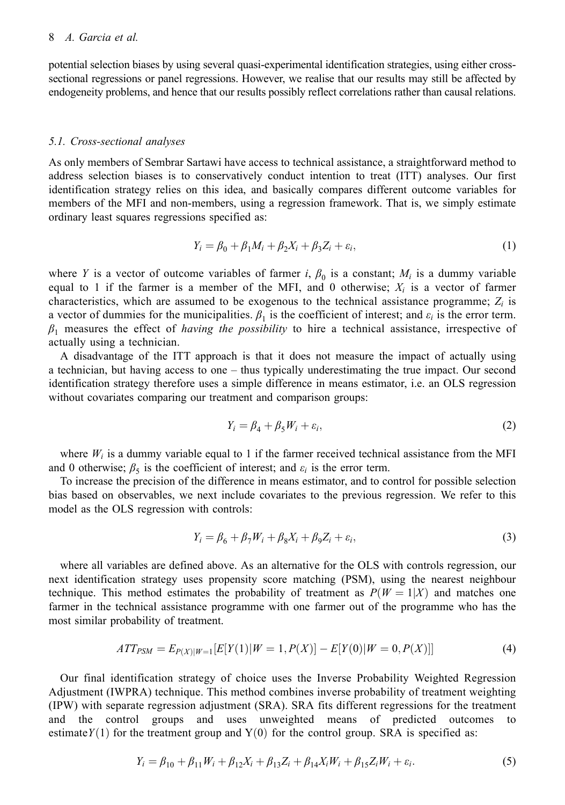potential selection biases by using several quasi-experimental identification strategies, using either crosssectional regressions or panel regressions. However, we realise that our results may still be affected by endogeneity problems, and hence that our results possibly reflect correlations rather than causal relations.

#### *5.1. Cross-sectional analyses*

As only members of Sembrar Sartawi have access to technical assistance, a straightforward method to address selection biases is to conservatively conduct intention to treat (ITT) analyses. Our first identification strategy relies on this idea, and basically compares different outcome variables for members of the MFI and non-members, using a regression framework. That is, we simply estimate ordinary least squares regressions specified as:

$$
Y_i = \beta_0 + \beta_1 M_i + \beta_2 X_i + \beta_3 Z_i + \varepsilon_i,
$$
\n(1)

where *Y* is a vector of outcome variables of farmer *i*,  $\beta_0$  is a constant;  $M_i$  is a dummy variable equal to 1 if the farmer is a member of the MFI, and 0 otherwise;  $X_i$  is a vector of farmer characteristics, which are assumed to be exogenous to the technical assistance programme;  $Z_i$  is a vector of dummies for the municipalities.  $\beta_1$  is the coefficient of interest; and  $\varepsilon_i$  is the error term. *β*1 measures the effect of *having the possibility* to hire a technical assistance, irrespective of actually using a technician.

A disadvantage of the ITT approach is that it does not measure the impact of actually using a technician, but having access to one – thus typically underestimating the true impact. Our second identification strategy therefore uses a simple difference in means estimator, i.e. an OLS regression without covariates comparing our treatment and comparison groups:

$$
Y_i = \beta_4 + \beta_5 W_i + \varepsilon_i, \tag{2}
$$

where  $W_i$  is a dummy variable equal to 1 if the farmer received technical assistance from the MFI and 0 otherwise;  $\beta_5$  is the coefficient of interest; and  $\varepsilon_i$  is the error term.

To increase the precision of the difference in means estimator, and to control for possible selection bias based on observables, we next include covariates to the previous regression. We refer to this model as the OLS regression with controls:

$$
Y_i = \beta_6 + \beta_7 W_i + \beta_8 X_i + \beta_9 Z_i + \varepsilon_i,
$$
\n(3)

where all variables are defined above. As an alternative for the OLS with controls regression, our next identification strategy uses propensity score matching (PSM), using the nearest neighbour technique. This method estimates the probability of treatment as  $P(W = 1|X)$  and matches one farmer in the technical assistance programme with one farmer out of the programme who has the most similar probability of treatment.

$$
ATT_{PSM} = E_{P(X)|W=1}[E[Y(1)|W=1, P(X)] - E[Y(0)|W=0, P(X)]]
$$
\n(4)

Our final identification strategy of choice uses the Inverse Probability Weighted Regression Adjustment (IWPRA) technique. This method combines inverse probability of treatment weighting (IPW) with separate regression adjustment (SRA). SRA fits different regressions for the treatment and the control groups and uses unweighted means of predicted outcomes to estimate  $Y(1)$  for the treatment group and  $Y(0)$  for the control group. SRA is specified as:

$$
Y_i = \beta_{10} + \beta_{11} W_i + \beta_{12} X_i + \beta_{13} Z_i + \beta_{14} X_i W_i + \beta_{15} Z_i W_i + \varepsilon_i.
$$
 (5)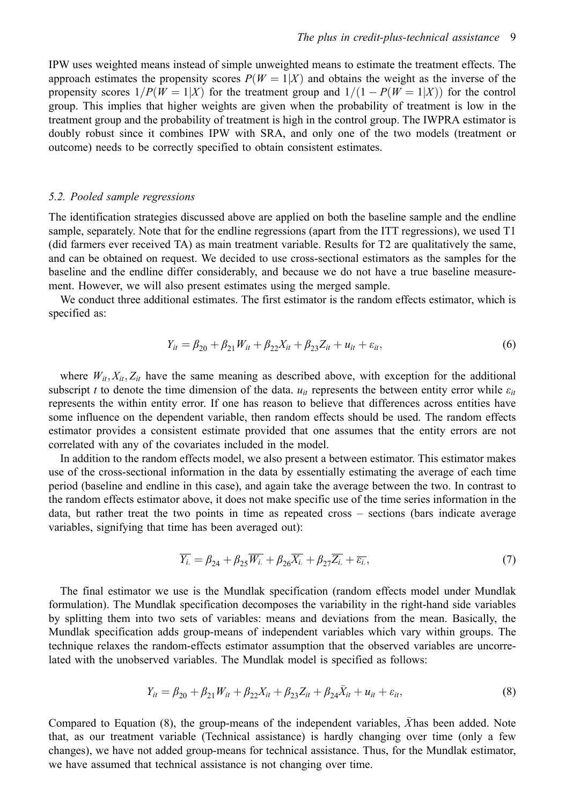IPW uses weighted means instead of simple unweighted means to estimate the treatment effects. The approach estimates the propensity scores  $P(W = 1|X)$  and obtains the weight as the inverse of the propensity scores  $1/P(W = 1|X)$  for the treatment group and  $1/(1 - P(W = 1|X))$  for the control group. This implies that higher weights are given when the probability of treatment is low in the treatment group and the probability of treatment is high in the control group. The IWPRA estimator is doubly robust since it combines IPW with SRA, and only one of the two models (treatment or outcome) needs to be correctly specified to obtain consistent estimates.

#### *5.2. Pooled sample regressions*

The identification strategies discussed above are applied on both the baseline sample and the endline sample, separately. Note that for the endline regressions (apart from the ITT regressions), we used T1 (did farmers ever received TA) as main treatment variable. Results for T2 are qualitatively the same, and can be obtained on request. We decided to use cross-sectional estimators as the samples for the baseline and the endline differ considerably, and because we do not have a true baseline measurement. However, we will also present estimates using the merged sample.

We conduct three additional estimates. The first estimator is the random effects estimator, which is specified as:

$$
Y_{it} = \beta_{20} + \beta_{21} W_{it} + \beta_{22} X_{it} + \beta_{23} Z_{it} + u_{it} + \varepsilon_{it},
$$
\n(6)

where  $W_{it}$ ,  $X_{it}$ ,  $Z_{it}$  have the same meaning as described above, with exception for the additional subscript *t* to denote the time dimension of the data.  $u_{it}$  represents the between entity error while  $\varepsilon_{it}$ represents the within entity error. If one has reason to believe that differences across entities have some influence on the dependent variable, then random effects should be used. The random effects estimator provides a consistent estimate provided that one assumes that the entity errors are not correlated with any of the covariates included in the model.

In addition to the random effects model, we also present a between estimator. This estimator makes use of the cross-sectional information in the data by essentially estimating the average of each time period (baseline and endline in this case), and again take the average between the two. In contrast to the random effects estimator above, it does not make specific use of the time series information in the data, but rather treat the two points in time as repeated cross – sections (bars indicate average variables, signifying that time has been averaged out):

$$
\overline{Y_i} = \beta_{24} + \beta_{25} \overline{W_i} + \beta_{26} \overline{X_i} + \beta_{27} \overline{Z_i} + \overline{\varepsilon_i},\tag{7}
$$

The final estimator we use is the Mundlak specification (random effects model under Mundlak formulation). The Mundlak specification decomposes the variability in the right-hand side variables by splitting them into two sets of variables: means and deviations from the mean. Basically, the Mundlak specification adds group-means of independent variables which vary within groups. The technique relaxes the random-effects estimator assumption that the observed variables are uncorrelated with the unobserved variables. The Mundlak model is specified as follows:

$$
Y_{it} = \beta_{20} + \beta_{21} W_{it} + \beta_{22} X_{it} + \beta_{23} Z_{it} + \beta_{24} \bar{X}_{it} + u_{it} + \varepsilon_{it},
$$
\n(8)

Compared to Equation  $(8)$ , the group-means of the independent variables,  $\bar{X}$  has been added. Note that, as our treatment variable (Technical assistance) is hardly changing over time (only a few changes), we have not added group-means for technical assistance. Thus, for the Mundlak estimator, we have assumed that technical assistance is not changing over time.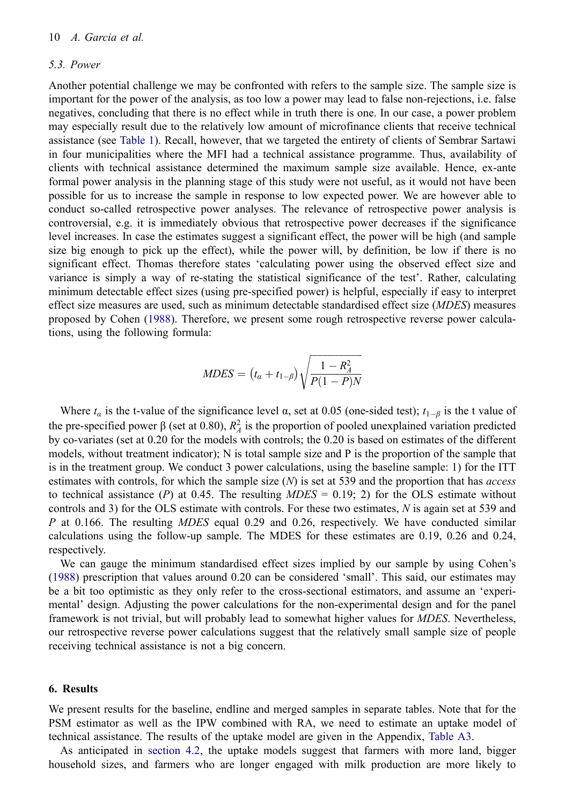#### *5.3. Power*

Another potential challenge we may be confronted with refers to the sample size. The sample size is important for the power of the analysis, as too low a power may lead to false non-rejections, i.e. false negatives, concluding that there is no effect while in truth there is one. In our case, a power problem may especially result due to the relatively low amount of microfinance clients that receive technical assistance (see [Table 1\)](#page-6-0). Recall, however, that we targeted the entirety of clients of Sembrar Sartawi in four municipalities where the MFI had a technical assistance programme. Thus, availability of clients with technical assistance determined the maximum sample size available. Hence, ex-ante formal power analysis in the planning stage of this study were not useful, as it would not have been possible for us to increase the sample in response to low expected power. We are however able to conduct so-called retrospective power analyses. The relevance of retrospective power analysis is controversial, e.g. it is immediately obvious that retrospective power decreases if the significance level increases. In case the estimates suggest a significant effect, the power will be high (and sample size big enough to pick up the effect), while the power will, by definition, be low if there is no significant effect. Thomas therefore states 'calculating power using the observed effect size and variance is simply a way of re-stating the statistical significance of the test'. Rather, calculating minimum detectable effect sizes (using pre-specified power) is helpful, especially if easy to interpret effect size measures are used, such as minimum detectable standardised effect size (*MDES*) measures proposed by Cohen [\(1988](#page-15-24)). Therefore, we present some rough retrospective reverse power calculations, using the following formula:

$$
MDES = (t_{\alpha} + t_{1-\beta})\sqrt{\frac{1 - R_A^2}{P(1 - P)N}}
$$

Where  $t_{\alpha}$  is the t-value of the significance level  $\alpha$ , set at 0.05 (one-sided test);  $t_{1-\beta}$  is the t value of the pre-specified power  $\beta$  (set at 0.80),  $R_A^2$  is the proportion of pooled unexplained variation predicted by co-variates (set at 0.20 for the models with controls; the 0.20 is based on estimates of the different models, without treatment indicator); N is total sample size and P is the proportion of the sample that is in the treatment group. We conduct 3 power calculations, using the baseline sample: 1) for the ITT estimates with controls, for which the sample size (*N*) is set at 539 and the proportion that has *access*  to technical assistance (*P*) at 0.45. The resulting  $MDES = 0.19$ ; 2) for the OLS estimate without controls and 3) for the OLS estimate with controls. For these two estimates, *N* is again set at 539 and *P* at 0.166. The resulting *MDES* equal 0.29 and 0.26, respectively. We have conducted similar calculations using the follow-up sample. The MDES for these estimates are 0.19, 0.26 and 0.24, respectively.

<span id="page-10-1"></span>We can gauge the minimum standardised effect sizes implied by our sample by using Cohen's ([1988\)](#page-15-24) prescription that values around 0.20 can be considered 'small'. This said, our estimates may be a bit too optimistic as they only refer to the cross-sectional estimators, and assume an 'experimental' design. Adjusting the power calculations for the non-experimental design and for the panel framework is not trivial, but will probably lead to somewhat higher values for *MDES*. Nevertheless, our retrospective reverse power calculations suggest that the relatively small sample size of people receiving technical assistance is not a big concern.

#### <span id="page-10-0"></span>**6. Results**

We present results for the baseline, endline and merged samples in separate tables. Note that for the PSM estimator as well as the IPW combined with RA, we need to estimate an uptake model of technical assistance. The results of the uptake model are given in the Appendix, [Table A3.](#page-17-0)

As anticipated in [section 4.2,](#page-6-3) the uptake models suggest that farmers with more land, bigger household sizes, and farmers who are longer engaged with milk production are more likely to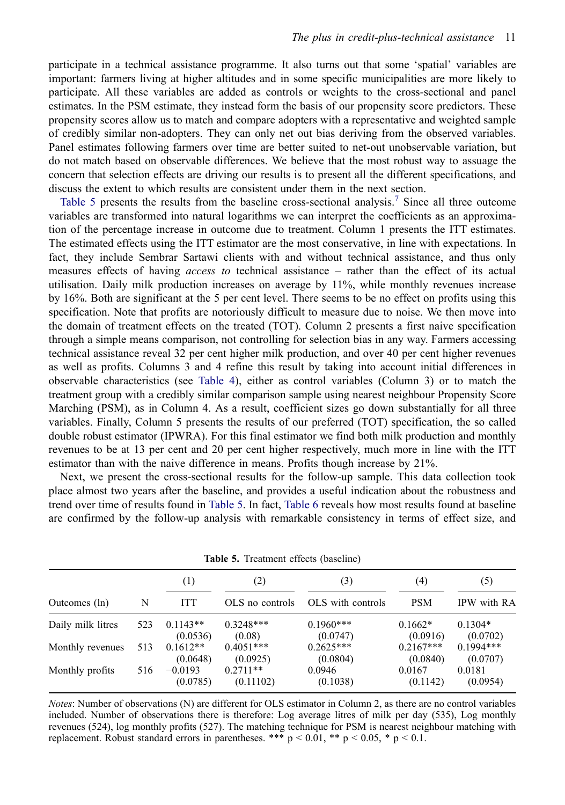participate in a technical assistance programme. It also turns out that some 'spatial' variables are important: farmers living at higher altitudes and in some specific municipalities are more likely to participate. All these variables are added as controls or weights to the cross-sectional and panel estimates. In the PSM estimate, they instead form the basis of our propensity score predictors. These propensity scores allow us to match and compare adopters with a representative and weighted sample of credibly similar non-adopters. They can only net out bias deriving from the observed variables. Panel estimates following farmers over time are better suited to net-out unobservable variation, but do not match based on observable differences. We believe that the most robust way to assuage the concern that selection effects are driving our results is to present all the different specifications, and discuss the extent to which results are consistent under them in the next section.

[Table 5](#page-11-0) presents the results from the baseline cross-sectional analysis.<sup>[7](#page-14-6)</sup> Since all three outcome variables are transformed into natural logarithms we can interpret the coefficients as an approximation of the percentage increase in outcome due to treatment. Column 1 presents the ITT estimates. The estimated effects using the ITT estimator are the most conservative, in line with expectations. In fact, they include Sembrar Sartawi clients with and without technical assistance, and thus only measures effects of having *access to* technical assistance – rather than the effect of its actual utilisation. Daily milk production increases on average by 11%, while monthly revenues increase by 16%. Both are significant at the 5 per cent level. There seems to be no effect on profits using this specification. Note that profits are notoriously difficult to measure due to noise. We then move into the domain of treatment effects on the treated (TOT). Column 2 presents a first naive specification through a simple means comparison, not controlling for selection bias in any way. Farmers accessing technical assistance reveal 32 per cent higher milk production, and over 40 per cent higher revenues as well as profits. Columns 3 and 4 refine this result by taking into account initial differences in observable characteristics (see [Table 4](#page-7-1)), either as control variables (Column 3) or to match the treatment group with a credibly similar comparison sample using nearest neighbour Propensity Score Marching (PSM), as in Column 4. As a result, coefficient sizes go down substantially for all three variables. Finally, Column 5 presents the results of our preferred (TOT) specification, the so called double robust estimator (IPWRA). For this final estimator we find both milk production and monthly revenues to be at 13 per cent and 20 per cent higher respectively, much more in line with the ITT estimator than with the naive difference in means. Profits though increase by 21%.

Next, we present the cross-sectional results for the follow-up sample. This data collection took place almost two years after the baseline, and provides a useful indication about the robustness and trend over time of results found in [Table 5](#page-11-0). In fact, [Table 6](#page-12-0) reveals how most results found at baseline are confirmed by the follow-up analysis with remarkable consistency in terms of effect size, and

<span id="page-11-0"></span>

|                   |     | (1)                    | (2)                     | (3)                     | (4)                     | (5)                     |  |  |
|-------------------|-----|------------------------|-------------------------|-------------------------|-------------------------|-------------------------|--|--|
| Outcomes (ln)     | N   | <b>ITT</b>             | OLS no controls         | OLS with controls       | <b>PSM</b>              | IPW with RA             |  |  |
| Daily milk litres | 523 | $0.1143**$<br>(0.0536) | $0.3248***$<br>(0.08)   | $0.1960***$<br>(0.0747) | $0.1662*$<br>(0.0916)   | $0.1304*$<br>(0.0702)   |  |  |
| Monthly revenues  | 513 | $0.1612**$<br>(0.0648) | $0.4051***$<br>(0.0925) | $0.2625***$<br>(0.0804) | $0.2167***$<br>(0.0840) | $0.1994***$<br>(0.0707) |  |  |
| Monthly profits   | 516 | $-0.0193$<br>(0.0785)  | $0.2711**$<br>(0.11102) | 0.0946<br>(0.1038)      | 0.0167<br>(0.1142)      | 0.0181<br>(0.0954)      |  |  |

**Table 5.** Treatment effects (baseline)

*Notes*: Number of observations (N) are different for OLS estimator in Column 2, as there are no control variables included. Number of observations there is therefore: Log average litres of milk per day (535), Log monthly revenues (524), log monthly profits (527). The matching technique for PSM is nearest neighbour matching with replacement. Robust standard errors in parentheses. \*\*\*  $p < 0.01$ , \*\*  $p < 0.05$ , \*  $p < 0.1$ .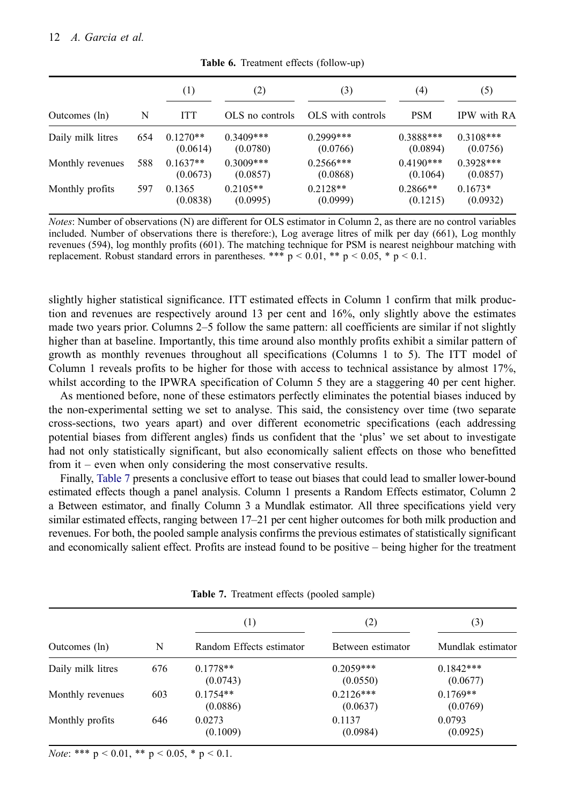<span id="page-12-0"></span>

|                   |     | (1)                    | (2)                     | (3)                     | (4)                     | (5)                     |
|-------------------|-----|------------------------|-------------------------|-------------------------|-------------------------|-------------------------|
| Outcomes (ln)     | N   | <b>ITT</b>             | OLS no controls         | OLS with controls       | <b>PSM</b>              | IPW with RA             |
| Daily milk litres | 654 | $0.1270**$<br>(0.0614) | $0.3409***$<br>(0.0780) | $0.2999***$<br>(0.0766) | $0.3888***$<br>(0.0894) | $0.3108***$<br>(0.0756) |
| Monthly revenues  | 588 | $0.1637**$<br>(0.0673) | $0.3009***$<br>(0.0857) | $0.2566***$<br>(0.0868) | $0.4190***$<br>(0.1064) | $0.3928***$<br>(0.0857) |
| Monthly profits   | 597 | 0.1365<br>(0.0838)     | $0.2105**$<br>(0.0995)  | $0.2128**$<br>(0.0999)  | $0.2866**$<br>(0.1215)  | $0.1673*$<br>(0.0932)   |

**Table 6.** Treatment effects (follow-up)

*Notes*: Number of observations (N) are different for OLS estimator in Column 2, as there are no control variables included. Number of observations there is therefore:), Log average litres of milk per day (661), Log monthly revenues (594), log monthly profits (601). The matching technique for PSM is nearest neighbour matching with replacement. Robust standard errors in parentheses. \*\*\*  $p < 0.01$ , \*\*  $p < 0.05$ , \*  $p < 0.1$ .

slightly higher statistical significance. ITT estimated effects in Column 1 confirm that milk production and revenues are respectively around 13 per cent and 16%, only slightly above the estimates made two years prior. Columns 2–5 follow the same pattern: all coefficients are similar if not slightly higher than at baseline. Importantly, this time around also monthly profits exhibit a similar pattern of growth as monthly revenues throughout all specifications (Columns 1 to 5). The ITT model of Column 1 reveals profits to be higher for those with access to technical assistance by almost 17%, whilst according to the IPWRA specification of Column 5 they are a staggering 40 per cent higher.

As mentioned before, none of these estimators perfectly eliminates the potential biases induced by the non-experimental setting we set to analyse. This said, the consistency over time (two separate cross-sections, two years apart) and over different econometric specifications (each addressing potential biases from different angles) finds us confident that the 'plus' we set about to investigate had not only statistically significant, but also economically salient effects on those who benefitted from it – even when only considering the most conservative results.

Finally, [Table 7](#page-12-1) presents a conclusive effort to tease out biases that could lead to smaller lower-bound estimated effects though a panel analysis. Column 1 presents a Random Effects estimator, Column 2 a Between estimator, and finally Column 3 a Mundlak estimator. All three specifications yield very similar estimated effects, ranging between 17–21 per cent higher outcomes for both milk production and revenues. For both, the pooled sample analysis confirms the previous estimates of statistically significant and economically salient effect. Profits are instead found to be positive – being higher for the treatment

<span id="page-12-1"></span>

|                   |     | $\left(1\right)$         | $\left( 2\right)$       | (3)                     |
|-------------------|-----|--------------------------|-------------------------|-------------------------|
| Outcomes (ln)     | N   | Random Effects estimator | Between estimator       | Mundlak estimator       |
| Daily milk litres | 676 | $0.1778**$<br>(0.0743)   | $0.2059***$<br>(0.0550) | $0.1842***$<br>(0.0677) |
| Monthly revenues  | 603 | $0.1754**$<br>(0.0886)   | $0.2126***$<br>(0.0637) | $0.1769**$<br>(0.0769)  |
| Monthly profits   | 646 | 0.0273<br>(0.1009)       | 0.1137<br>(0.0984)      | 0.0793<br>(0.0925)      |

**Table 7.** Treatment effects (pooled sample)

*Note*: \*\*\*  $p < 0.01$ , \*\*  $p < 0.05$ , \*  $p < 0.1$ .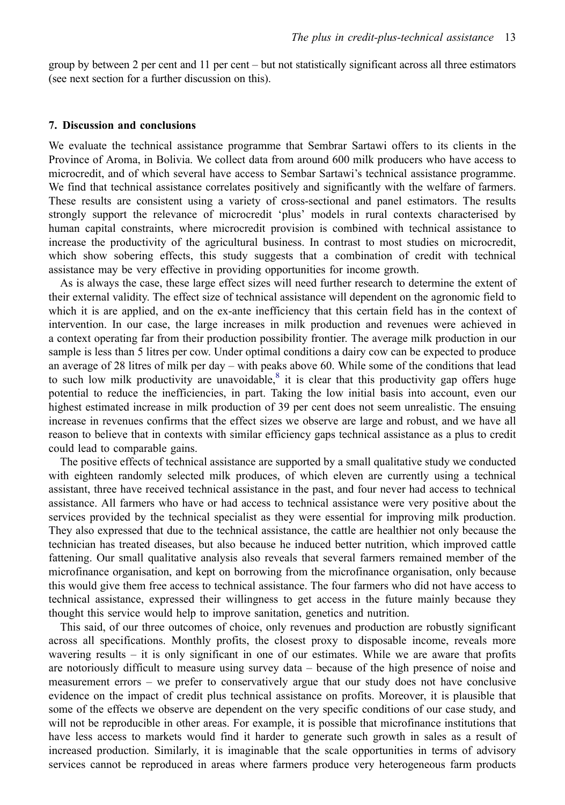group by between 2 per cent and 11 per cent – but not statistically significant across all three estimators (see next section for a further discussion on this).

#### <span id="page-13-0"></span>**7. Discussion and conclusions**

We evaluate the technical assistance programme that Sembrar Sartawi offers to its clients in the Province of Aroma, in Bolivia. We collect data from around 600 milk producers who have access to microcredit, and of which several have access to Sembar Sartawi's technical assistance programme. We find that technical assistance correlates positively and significantly with the welfare of farmers. These results are consistent using a variety of cross-sectional and panel estimators. The results strongly support the relevance of microcredit 'plus' models in rural contexts characterised by human capital constraints, where microcredit provision is combined with technical assistance to increase the productivity of the agricultural business. In contrast to most studies on microcredit, which show sobering effects, this study suggests that a combination of credit with technical assistance may be very effective in providing opportunities for income growth.

As is always the case, these large effect sizes will need further research to determine the extent of their external validity. The effect size of technical assistance will dependent on the agronomic field to which it is are applied, and on the ex-ante inefficiency that this certain field has in the context of intervention. In our case, the large increases in milk production and revenues were achieved in a context operating far from their production possibility frontier. The average milk production in our sample is less than 5 litres per cow. Under optimal conditions a dairy cow can be expected to produce an average of 28 litres of milk per day – with peaks above 60. While some of the conditions that lead to such low milk productivity are unavoidable, $\frac{8}{3}$  $\frac{8}{3}$  $\frac{8}{3}$  it is clear that this productivity gap offers huge potential to reduce the inefficiencies, in part. Taking the low initial basis into account, even our highest estimated increase in milk production of 39 per cent does not seem unrealistic. The ensuing increase in revenues confirms that the effect sizes we observe are large and robust, and we have all reason to believe that in contexts with similar efficiency gaps technical assistance as a plus to credit could lead to comparable gains.

The positive effects of technical assistance are supported by a small qualitative study we conducted with eighteen randomly selected milk produces, of which eleven are currently using a technical assistant, three have received technical assistance in the past, and four never had access to technical assistance. All farmers who have or had access to technical assistance were very positive about the services provided by the technical specialist as they were essential for improving milk production. They also expressed that due to the technical assistance, the cattle are healthier not only because the technician has treated diseases, but also because he induced better nutrition, which improved cattle fattening. Our small qualitative analysis also reveals that several farmers remained member of the microfinance organisation, and kept on borrowing from the microfinance organisation, only because this would give them free access to technical assistance. The four farmers who did not have access to technical assistance, expressed their willingness to get access in the future mainly because they thought this service would help to improve sanitation, genetics and nutrition.

This said, of our three outcomes of choice, only revenues and production are robustly significant across all specifications. Monthly profits, the closest proxy to disposable income, reveals more wavering results – it is only significant in one of our estimates. While we are aware that profits are notoriously difficult to measure using survey data – because of the high presence of noise and measurement errors – we prefer to conservatively argue that our study does not have conclusive evidence on the impact of credit plus technical assistance on profits. Moreover, it is plausible that some of the effects we observe are dependent on the very specific conditions of our case study, and will not be reproducible in other areas. For example, it is possible that microfinance institutions that have less access to markets would find it harder to generate such growth in sales as a result of increased production. Similarly, it is imaginable that the scale opportunities in terms of advisory services cannot be reproduced in areas where farmers produce very heterogeneous farm products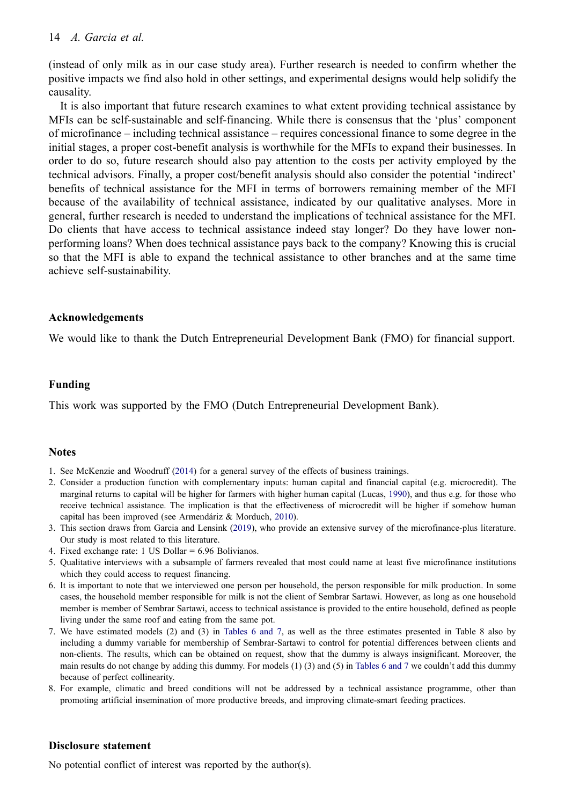## 14 *A. Garcia et al.*

(instead of only milk as in our case study area). Further research is needed to confirm whether the positive impacts we find also hold in other settings, and experimental designs would help solidify the causality.

It is also important that future research examines to what extent providing technical assistance by MFIs can be self-sustainable and self-financing. While there is consensus that the 'plus' component of microfinance – including technical assistance – requires concessional finance to some degree in the initial stages, a proper cost-benefit analysis is worthwhile for the MFIs to expand their businesses. In order to do so, future research should also pay attention to the costs per activity employed by the technical advisors. Finally, a proper cost/benefit analysis should also consider the potential 'indirect' benefits of technical assistance for the MFI in terms of borrowers remaining member of the MFI because of the availability of technical assistance, indicated by our qualitative analyses. More in general, further research is needed to understand the implications of technical assistance for the MFI. Do clients that have access to technical assistance indeed stay longer? Do they have lower nonperforming loans? When does technical assistance pays back to the company? Knowing this is crucial so that the MFI is able to expand the technical assistance to other branches and at the same time achieve self-sustainability.

#### **Acknowledgements**

We would like to thank the Dutch Entrepreneurial Development Bank (FMO) for financial support.

#### **Funding**

This work was supported by the FMO (Dutch Entrepreneurial Development Bank).

#### **Notes**

- <span id="page-14-0"></span>1. See McKenzie and Woodruff [\(2014](#page-15-25)) for a general survey of the effects of business trainings.
- <span id="page-14-9"></span><span id="page-14-1"></span>2. Consider a production function with complementary inputs: human capital and financial capital (e.g. microcredit). The marginal returns to capital will be higher for farmers with higher human capital (Lucas, [1990](#page-15-26)), and thus e.g. for those who receive technical assistance. The implication is that the effectiveness of microcredit will be higher if somehow human capital has been improved (see Armendáriz & Morduch, [2010](#page-15-27)).
- <span id="page-14-8"></span><span id="page-14-2"></span>3. This section draws from Garcia and Lensink ([2019\)](#page-15-28), who provide an extensive survey of the microfinance-plus literature. Our study is most related to this literature.
- <span id="page-14-3"></span>4. Fixed exchange rate: 1 US Dollar = 6.96 Bolivianos.
- <span id="page-14-4"></span>5. Qualitative interviews with a subsample of farmers revealed that most could name at least five microfinance institutions which they could access to request financing.
- <span id="page-14-5"></span>6. It is important to note that we interviewed one person per household, the person responsible for milk production. In some cases, the household member responsible for milk is not the client of Sembrar Sartawi. However, as long as one household member is member of Sembrar Sartawi, access to technical assistance is provided to the entire household, defined as people living under the same roof and eating from the same pot.
- <span id="page-14-6"></span>7. We have estimated models (2) and (3) in [Tables 6 and 7,](#page-12-0) as well as the three estimates presented in Table 8 also by including a dummy variable for membership of Sembrar-Sartawi to control for potential differences between clients and non-clients. The results, which can be obtained on request, show that the dummy is always insignificant. Moreover, the main results do not change by adding this dummy. For models (1) (3) and (5) in [Tables 6 and 7](#page-12-0) we couldn't add this dummy because of perfect collinearity.
- <span id="page-14-7"></span>8. For example, climatic and breed conditions will not be addressed by a technical assistance programme, other than promoting artificial insemination of more productive breeds, and improving climate-smart feeding practices.

#### **Disclosure statement**

No potential conflict of interest was reported by the author(s).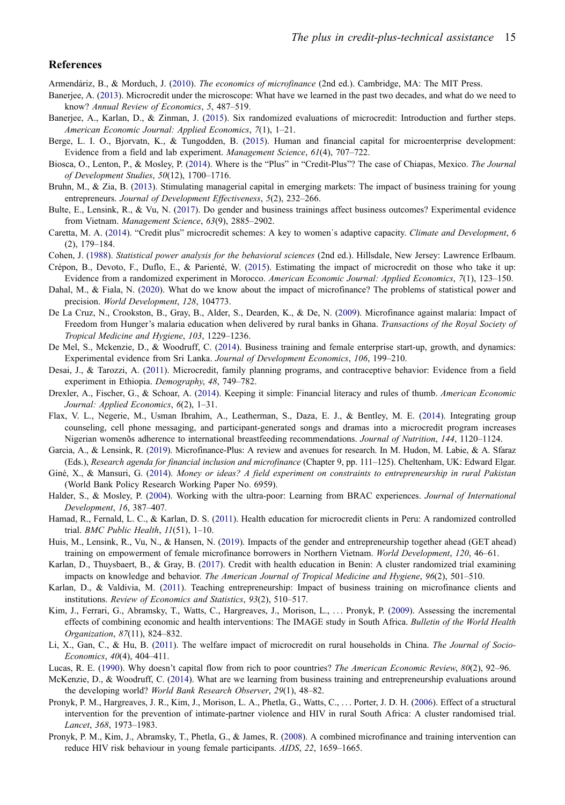#### **References**

- <span id="page-15-27"></span>Armendáriz, B., & Morduch, J. ([2010\)](#page-14-8). *The economics of microfinance* (2nd ed.). Cambridge, MA: The MIT Press.
- <span id="page-15-6"></span>Banerjee, A. [\(2013](#page-2-0)). Microcredit under the microscope: What have we learned in the past two decades, and what do we need to know? *Annual Review of Economics*, *5*, 487–519.
- <span id="page-15-0"></span>Banerjee, A., Karlan, D., & Zinman, J. ([2015\)](#page-1-1). Six randomized evaluations of microcredit: Introduction and further steps. *American Economic Journal: Applied Economics*, *7*(1), 1–21.
- <span id="page-15-16"></span>Berge, L. I. O., Bjorvatn, K., & Tungodden, B. ([2015\)](#page-3-1). Human and financial capital for microenterprise development: Evidence from a field and lab experiment. *Management Science*, *61*(4), 707–722.
- <span id="page-15-4"></span>Biosca, O., Lenton, P., & Mosley, P. ([2014\)](#page-2-1). Where is the "Plus" in "Credit-Plus"? The case of Chiapas, Mexico. *The Journal of Development Studies*, *50*(12), 1700–1716.
- <span id="page-15-21"></span>Bruhn, M., & Zia, B. [\(2013](#page-3-2)). Stimulating managerial capital in emerging markets: The impact of business training for young entrepreneurs. *Journal of Development Effectiveness*, *5*(2), 232–266.
- <span id="page-15-5"></span>Bulte, E., Lensink, R., & Vu, N. [\(2017](#page-2-1)). Do gender and business trainings affect business outcomes? Experimental evidence from Vietnam. *Management Science*, *63*(9), 2885–2902.
- <span id="page-15-23"></span>Caretta, M. A. ([2014\)](#page-3-3). "Credit plus" microcredit schemes: A key to women´s adaptive capacity. *Climate and Development*, *6*  (2), 179–184.
- <span id="page-15-24"></span>Cohen, J. [\(1988](#page-10-1)). *Statistical power analysis for the behavioral sciences* (2nd ed.). Hillsdale, New Jersey: Lawrence Erlbaum.
- <span id="page-15-2"></span>Crépon, B., Devoto, F., Duflo, E., & Parienté, W. ([2015\)](#page-2-2). Estimating the impact of microcredit on those who take it up: Evidence from a randomized experiment in Morocco. *American Economic Journal: Applied Economics*, *7*(1), 123–150.
- <span id="page-15-1"></span>Dahal, M., & Fiala, N. [\(2020](#page-1-2)). What do we know about the impact of microfinance? The problems of statistical power and precision. *World Development*, *128*, 104773.
- <span id="page-15-8"></span>De La Cruz, N., Crookston, B., Gray, B., Alder, S., Dearden, K., & De, N. [\(2009\)](#page-3-4). Microfinance against malaria: Impact of Freedom from Hunger's malaria education when delivered by rural banks in Ghana. *Transactions of the Royal Society of Tropical Medicine and Hygiene*, *103*, 1229–1236.
- <span id="page-15-17"></span>De Mel, S., Mckenzie, D., & Woodruff, C. ([2014\)](#page-3-5). Business training and female enterprise start-up, growth, and dynamics: Experimental evidence from Sri Lanka. *Journal of Development Economics*, *106*, 199–210.
- <span id="page-15-13"></span>Desai, J., & Tarozzi, A. ([2011](#page-3-6)). Microcredit, family planning programs, and contraceptive behavior: Evidence from a field experiment in Ethiopia. *Demography*, *48*, 749–782.
- <span id="page-15-22"></span>Drexler, A., Fischer, G., & Schoar, A. ([2014\)](#page-3-2). Keeping it simple: Financial literacy and rules of thumb. *American Economic Journal: Applied Economics*, *6*(2), 1–31.
- <span id="page-15-14"></span>Flax, V. L., Negerie, M., Usman Ibrahim, A., Leatherman, S., Daza, E. J., & Bentley, M. E. ([2014\)](#page-3-7). Integrating group counseling, cell phone messaging, and participant-generated songs and dramas into a microcredit program increases Nigerian womenõs adherence to international breastfeeding recommendations. *Journal of Nutrition*, *144*, 1120–1124.
- <span id="page-15-28"></span>Garcia, A., & Lensink, R. ([2019](#page-14-2)). Microfinance-Plus: A review and avenues for research. In M. Hudon, M. Labie, & A. Sfaraz (Eds.), *Research agenda for financial inclusion and microfinance* (Chapter 9, pp. 111–125). Cheltenham, UK: Edward Elgar.
- <span id="page-15-18"></span>Giné, X., & Mansuri, G. ([2014\)](#page-3-5). *Money or ideas? A field experiment on constraints to entrepreneurship in rural Pakistan*  (World Bank Policy Research Working Paper No. 6959).
- <span id="page-15-7"></span>Halder, S., & Mosley, P. [\(2004](#page-2-0)). Working with the ultra-poor: Learning from BRAC experiences. *Journal of International Development*, *16*, 387–407.
- <span id="page-15-15"></span>Hamad, R., Fernald, L. C., & Karlan, D. S. ([2011\)](#page-3-7). Health education for microcredit clients in Peru: A randomized controlled trial. *BMC Public Health*, *11*(51), 1–10.
- <span id="page-15-20"></span>Huis, M., Lensink, R., Vu, N., & Hansen, N. [\(2019](#page-3-8)). Impacts of the gender and entrepreneurship together ahead (GET ahead) training on empowerment of female microfinance borrowers in Northern Vietnam. *World Development*, *120*, 46–61.
- <span id="page-15-11"></span>Karlan, D., Thuysbaert, B., & Gray, B. [\(2017](#page-3-9)). Credit with health education in Benin: A cluster randomized trial examining impacts on knowledge and behavior. *The American Journal of Tropical Medicine and Hygiene*, *96*(2), 501–510.
- <span id="page-15-19"></span>Karlan, D., & Valdivia, M. [\(2011](#page-3-10)). Teaching entrepreneurship: Impact of business training on microfinance clients and institutions. *Review of Economics and Statistics*, *93*(2), 510–517.
- <span id="page-15-12"></span>Kim, J., Ferrari, G., Abramsky, T., Watts, C., Hargreaves, J., Morison, L., . . . Pronyk, P. ([2009\)](#page-3-9). Assessing the incremental effects of combining economic and health interventions: The IMAGE study in South Africa. *Bulletin of the World Health Organization*, *87*(11), 824–832.
- <span id="page-15-3"></span>Li, X., Gan, C., & Hu, B. ([2011](#page-2-2)). The welfare impact of microcredit on rural households in China. *The Journal of Socio-Economics*, *40*(4), 404–411.
- <span id="page-15-26"></span>Lucas, R. E. [\(1990](#page-14-9)). Why doesn't capital flow from rich to poor countries? *The American Economic Review*, *80*(2), 92–96.
- <span id="page-15-25"></span>McKenzie, D., & Woodruff, C. ([2014\)](#page-14-0). What are we learning from business training and entrepreneurship evaluations around the developing world? *World Bank Research Observer*, *29*(1), 48–82.
- <span id="page-15-9"></span>Pronyk, P. M., Hargreaves, J. R., Kim, J., Morison, L. A., Phetla, G., Watts, C., . . . Porter, J. D. H. ([2006\)](#page-3-4). Effect of a structural intervention for the prevention of intimate-partner violence and HIV in rural South Africa: A cluster randomised trial. *Lancet*, *368*, 1973–1983.
- <span id="page-15-10"></span>Pronyk, P. M., Kim, J., Abramsky, T., Phetla, G., & James, R. [\(2008](#page-3-4)). A combined microfinance and training intervention can reduce HIV risk behaviour in young female participants. *AIDS*, *22*, 1659–1665.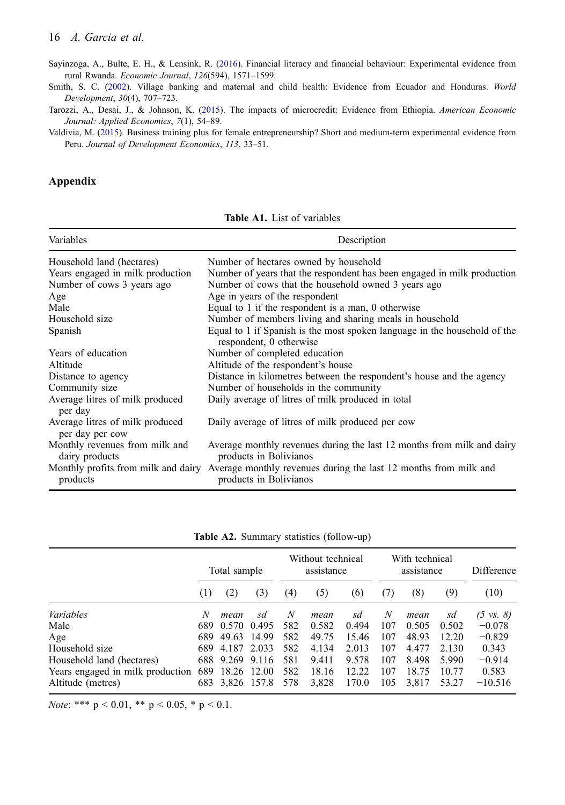#### 16 *A. Garcia et al.*

<span id="page-16-3"></span>Sayinzoga, A., Bulte, E. H., & Lensink, R. ([2016\)](#page-3-11). Financial literacy and financial behaviour: Experimental evidence from rural Rwanda. *Economic Journal*, *126*(594), 1571–1599.

<span id="page-16-2"></span>Smith, S. C. [\(2002](#page-3-7)). Village banking and maternal and child health: Evidence from Ecuador and Honduras. *World Development*, *30*(4), 707–723.

<span id="page-16-0"></span>Tarozzi, A., Desai, J., & Johnson, K. [\(2015](#page-2-2)). The impacts of microcredit: Evidence from Ethiopia. *American Economic Journal: Applied Economics*, *7*(1), 54–89.

<span id="page-16-1"></span>Valdivia, M. ([2015\)](#page-2-1). Business training plus for female entrepreneurship? Short and medium-term experimental evidence from Peru. *Journal of Development Economics*, *113*, 33–51.

## **Appendix**

**Table A1.** List of variables

<span id="page-16-4"></span>

| Variables                                          | Description                                                                                                                    |  |  |  |  |  |
|----------------------------------------------------|--------------------------------------------------------------------------------------------------------------------------------|--|--|--|--|--|
| Household land (hectares)                          | Number of hectares owned by household                                                                                          |  |  |  |  |  |
| Years engaged in milk production                   | Number of years that the respondent has been engaged in milk production                                                        |  |  |  |  |  |
| Number of cows 3 years ago                         | Number of cows that the household owned 3 years ago                                                                            |  |  |  |  |  |
| Age                                                | Age in years of the respondent                                                                                                 |  |  |  |  |  |
| Male                                               | Equal to 1 if the respondent is a man, $\theta$ otherwise                                                                      |  |  |  |  |  |
| Household size                                     | Number of members living and sharing meals in household                                                                        |  |  |  |  |  |
| Spanish                                            | Equal to 1 if Spanish is the most spoken language in the household of the<br>respondent, 0 otherwise                           |  |  |  |  |  |
| Years of education                                 | Number of completed education                                                                                                  |  |  |  |  |  |
| Altitude                                           | Altitude of the respondent's house                                                                                             |  |  |  |  |  |
| Distance to agency                                 | Distance in kilometres between the respondent's house and the agency                                                           |  |  |  |  |  |
| Community size                                     | Number of households in the community                                                                                          |  |  |  |  |  |
| Average litres of milk produced<br>per day         | Daily average of litres of milk produced in total                                                                              |  |  |  |  |  |
| Average litres of milk produced<br>per day per cow | Daily average of litres of milk produced per cow                                                                               |  |  |  |  |  |
| Monthly revenues from milk and<br>dairy products   | Average monthly revenues during the last 12 months from milk and dairy<br>products in Bolivianos                               |  |  |  |  |  |
| products                                           | Monthly profits from milk and dairy Average monthly revenues during the last 12 months from milk and<br>products in Bolivianos |  |  |  |  |  |

|  |  |  | Table A2. Summary statistics (follow-up) |  |
|--|--|--|------------------------------------------|--|
|--|--|--|------------------------------------------|--|

<span id="page-16-5"></span>

|                                  | Total sample |                 |       | Without technical<br>assistance |       |       | With technical<br>assistance |       |                | Difference           |  |
|----------------------------------|--------------|-----------------|-------|---------------------------------|-------|-------|------------------------------|-------|----------------|----------------------|--|
|                                  | (1)          | (2)             | (3)   | (4)                             | (5)   | (6)   | (7)                          | (8)   | (9)            | (10)                 |  |
| Variables                        | N            | mean            | sd    | N                               | mean  | sd    | N                            | mean  | sd             | $(5 \text{ vs. } 8)$ |  |
| Male                             | 689          | 0.570           | 0.495 | 582                             | 0.582 | 0.494 | 107                          | 0.505 | 0.502          | $-0.078$             |  |
| Age                              | 689          | 49.63           | 14.99 | 582                             | 49.75 | 15.46 | 107                          | 48.93 | 12.20          | $-0.829$             |  |
| Household size                   | 689.         | 4.187 2.033     |       | 582                             | 4.134 | 2.013 | 107                          | 4.477 | 2.130          | 0.343                |  |
| Household land (hectares)        |              | 688 9.269 9.116 |       | 581                             | 9.411 | 9.578 | 107                          | 8.498 | 5.990          | $-0.914$             |  |
| Years engaged in milk production | 689          | 18.26 12.00     |       | 582<br>578                      | 18.16 | 12.22 | 107                          | 18.75 | 10.77<br>53.27 | 0.583<br>$-10.516$   |  |
| Altitude (metres)                |              | 683 3,826 157.8 |       |                                 | 3,828 | 170.0 | 105                          | 3,817 |                |                      |  |

*Note*: \*\*\*  $p < 0.01$ , \*\*  $p < 0.05$ , \*  $p < 0.1$ .